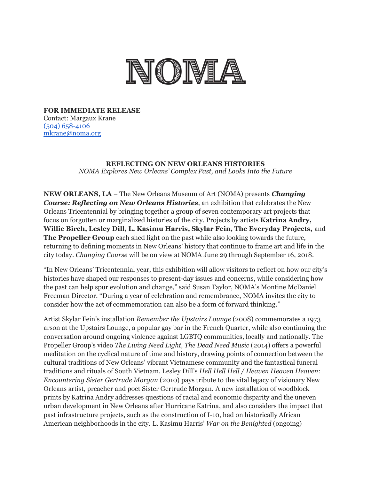

**FOR IMMEDIATE RELEASE** Contact: Margaux Krane [\(504\) 658-4106](tel:(504)%20658-4106) [mkrane@noma.org](mailto:mkrane@noma.org)

## **REFLECTING ON NEW ORLEANS HISTORIES** *NOMA Explores New Orleans' Complex Past, and Looks Into the Future*

**NEW ORLEANS, LA** – The New Orleans Museum of Art (NOMA) presents *Changing Course: Reflecting on New Orleans Histories*, an exhibition that celebrates the New Orleans Tricentennial by bringing together a group of seven contemporary art projects that focus on forgotten or marginalized histories of the city. Projects by artists **Katrina Andry, Willie Birch, Lesley Dill, L. Kasimu Harris, Skylar Fein, The Everyday Projects,** and **The Propeller Group** each shed light on the past while also looking towards the future, returning to defining moments in New Orleans' history that continue to frame art and life in the city today. *Changing Course* will be on view at NOMA June 29 through September 16, 2018.

"In New Orleans' Tricentennial year, this exhibition will allow visitors to reflect on how our city's histories have shaped our responses to present-day issues and concerns, while considering how the past can help spur evolution and change," said Susan Taylor, NOMA's Montine McDaniel Freeman Director. "During a year of celebration and remembrance, NOMA invites the city to consider how the act of commemoration can also be a form of forward thinking."

Artist Skylar Fein's installation *Remember the Upstairs Lounge* (2008) commemorates a 1973 arson at the Upstairs Lounge, a popular gay bar in the French Quarter, while also continuing the conversation around ongoing violence against LGBTQ communities, locally and nationally. The Propeller Group's video *The Living Need Light, The Dead Need Music* (2014) offers a powerful meditation on the cyclical nature of time and history, drawing points of connection between the cultural traditions of New Orleans' vibrant Vietnamese community and the fantastical funeral traditions and rituals of South Vietnam. Lesley Dill's *Hell Hell Hell / Heaven Heaven Heaven: Encountering Sister Gertrude Morgan* (2010) pays tribute to the vital legacy of visionary New Orleans artist, preacher and poet Sister Gertrude Morgan. A new installation of woodblock prints by Katrina Andry addresses questions of racial and economic disparity and the uneven urban development in New Orleans after Hurricane Katrina, and also considers the impact that past infrastructure projects, such as the construction of I-10, had on historically African American neighborhoods in the city. L. Kasimu Harris' *War on the Benighted* (ongoing)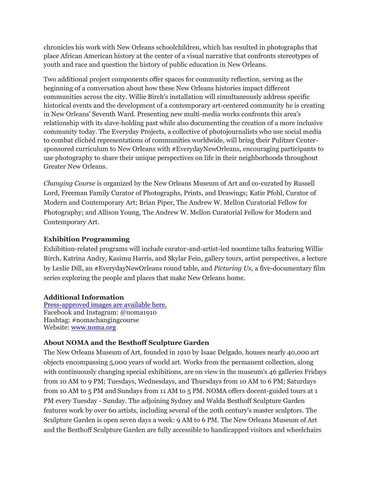chronicles his work with New Orleans schoolchildren, which has resulted in photographs that place African American history at the center of a visual narrative that confronts stereotypes of youth and race and question the history of public education in New Orleans.

Two additional project components offer spaces for community reflection, serving as the beginning of a conversation about how these New Orleans histories impact different communities across the city. Willie Birch's installation will simultaneously address specific historical events and the development of a contemporary art-centered community he is creating in New Orleans' Seventh Ward. Presenting new multi-media works confronts this area's relationship with its slave-holding past while also documenting the creation of a more inclusive community today. The Everyday Projects, a collective of photojournalists who use social media to combat clichéd representations of communities worldwide, will bring their Pulitzer Centersponsored curriculum to New Orleans with #EverydayNewOrleans, encouraging participants to use photography to share their unique perspectives on life in their neighborhoods throughout Greater New Orleans.

*Changing Course* is organized by the New Orleans Museum of Art and co-curated by Russell Lord, Freeman Family Curator of Photographs, Prints, and Drawings; Katie Pfohl, Curator of Modern and Contemporary Art; Brian Piper, The Andrew W. Mellon Curatorial Fellow for Photography; and Allison Young, The Andrew W. Mellon Curatorial Fellow for Modern and Contemporary Art.

## **Exhibition Programming**

Exhibition-related programs will include curator-and-artist-led noontime talks featuring Willie Birch, Katrina Andry, Kasimu Harris, and Skylar Fein, gallery tours, artist perspectives, a lecture by Leslie Dill, an #EverydayNewOrleans round table, and *Picturing Us*, a five-documentary film series exploring the people and places that make New Orleans home.

## **Additional Information**

[Press-approved images are available here.](https://www.dropbox.com/sh/h9s21rmhpgcared/AABmx82POQ4PFwMqgi1a7vq-a?dl=0) Facebook and Instagram: @noma1910 Hashtag: #nomachangingcourse Website: [www.noma.org](http://www.noma.org/)

## **About NOMA and the Besthoff Sculpture Garden**

The New Orleans Museum of Art, founded in 1910 by Isaac Delgado, houses nearly 40,000 art objects encompassing 5,000 years of world art. Works from the permanent collection, along with continuously changing special exhibitions, are on view in the museum's 46 galleries Fridays from 10 AM to 9 PM; Tuesdays, Wednesdays, and Thursdays from 10 AM to 6 PM; Saturdays from 10 AM to 5 PM and Sundays from 11 AM to 5 PM. NOMA offers docent-guided tours at 1 PM every Tuesday - Sunday. The adjoining Sydney and Walda Besthoff Sculpture Garden features work by over 60 artists, including several of the 20th century's master sculptors. The Sculpture Garden is open seven days a week: 9 AM to 6 PM. The New Orleans Museum of Art and the Besthoff Sculpture Garden are fully accessible to handicapped visitors and wheelchairs